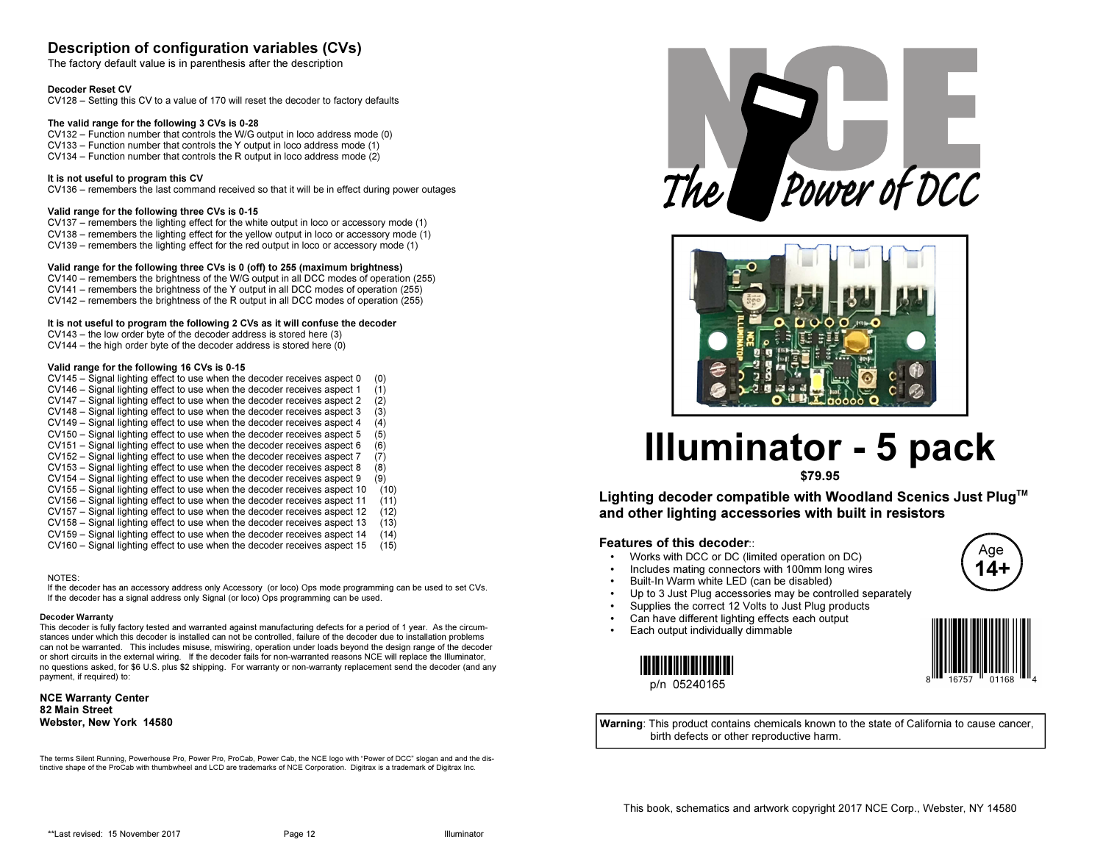# Description of configuration variables (CVs)

The factory default value is in parenthesis after the description

#### Decoder Reset CV

CV128 – Setting this CV to a value of 170 will reset the decoder to factory defaults

#### The valid range for the following 3 CVs is 0-28

 CV132 – Function number that controls the W/G output in loco address mode (0)CV133 – Function number that controls the Y output in loco address mode (1)CV134 – Function number that controls the R output in loco address mode (2)

#### It is not useful to program this CV

CV136 – remembers the last command received so that it will be in effect during power outages

#### Valid range for the following three CVs is 0-15

 CV137 – remembers the lighting effect for the white output in loco or accessory mode (1) CV138 – remembers the lighting effect for the yellow output in loco or accessory mode (1)CV139 – remembers the lighting effect for the red output in loco or accessory mode (1)

#### Valid range for the following three CVs is 0 (off) to 255 (maximum brightness)

 CV140 – remembers the brightness of the W/G output in all DCC modes of operation (255)CV141 – remembers the brightness of the Y output in all DCC modes of operation (255)CV142 – remembers the brightness of the R output in all DCC modes of operation (255)

#### It is not useful to program the following 2 CVs as it will confuse the decoder

CV143 – the low order byte of the decoder address is stored here (3)

CV144 – the high order byte of the decoder address is stored here (0)

#### Valid range for the following 16 CVs is 0-15

- CV145 Signal lighting effect to use when the decoder receives aspect 0 (0) $(1)$ CV146 – Signal lighting effect to use when the decoder receives aspect 1
- CV147 Signal lighting effect to use when the decoder receives aspect 2 (2)
- CV148 Signal lighting effect to use when the decoder receives aspect 3 (3)
- CV149 Signal lighting effect to use when the decoder receives aspect 4 (4)
- CV150 Signal lighting effect to use when the decoder receives aspect 5 (5)
- CV151 Signal lighting effect to use when the decoder receives aspect 6 (6)
- $(7)$ CV152 – Signal lighting effect to use when the decoder receives aspect 7
- CV153 Signal lighting effect to use when the decoder receives aspect 8 (8)
- $(9)$ CV154 – Signal lighting effect to use when the decoder receives aspect 9
- CV155 Signal lighting effect to use when the decoder receives aspect 10 (10)
- $(11)$ CV156 – Signal lighting effect to use when the decoder receives aspect 11
- $(12)$ CV157 – Signal lighting effect to use when the decoder receives aspect 12
- $(13)$ CV158 – Signal lighting effect to use when the decoder receives aspect 13
- $(14)$ CV159 – Signal lighting effect to use when the decoder receives aspect 14  $(15)$ CV160 – Signal lighting effect to use when the decoder receives aspect 15

NOTES:

 If the decoder has an accessory address only Accessory (or loco) Ops mode programming can be used to set CVs.If the decoder has a signal address only Signal (or loco) Ops programming can be used.

#### Decoder Warranty

 This decoder is fully factory tested and warranted against manufacturing defects for a period of 1 year. As the circumstances under which this decoder is installed can not be controlled, failure of the decoder due to installation problems can not be warranted. This includes misuse, miswiring, operation under loads beyond the design range of the decoder or short circuits in the external wiring. If the decoder fails for non-warranted reasons NCE will replace the Illuminator, no questions asked, for \$6 U.S. plus \$2 shipping. For warranty or non-warranty replacement send the decoder (and anypayment, if required) to:

NCE Warranty Center82 Main StreetWebster, New York 14580

The terms Silent Running, Powerhouse Pro, Power Pro, ProCab, Power Cab, the NCE logo with "Power of DCC" slogan and and the distinctive shape of the ProCab with thumbwheel and LCD are trademarks of NCE Corporation. Digitrax is a trademark of Digitrax Inc.





# Illuminator - 5 pack

\$79.95

Lighting decoder compatible with Woodland Scenics Just Plug™ and other lighting accessories with built in resistors

#### Features of this decoder:

- Works with DCC or DC (limited operation on DC) •
- •Includes mating connectors with 100mm long wires
- •Built-In Warm white LED (can be disabled)
- •Up to 3 Just Plug accessories may be controlled separately
- •Supplies the correct 12 Volts to Just Plug products
- •Can have different lighting effects each output
- •Each output individually dimmable





Age14+

Warning: This product contains chemicals known to the state of California to cause cancer, birth defects or other reproductive harm.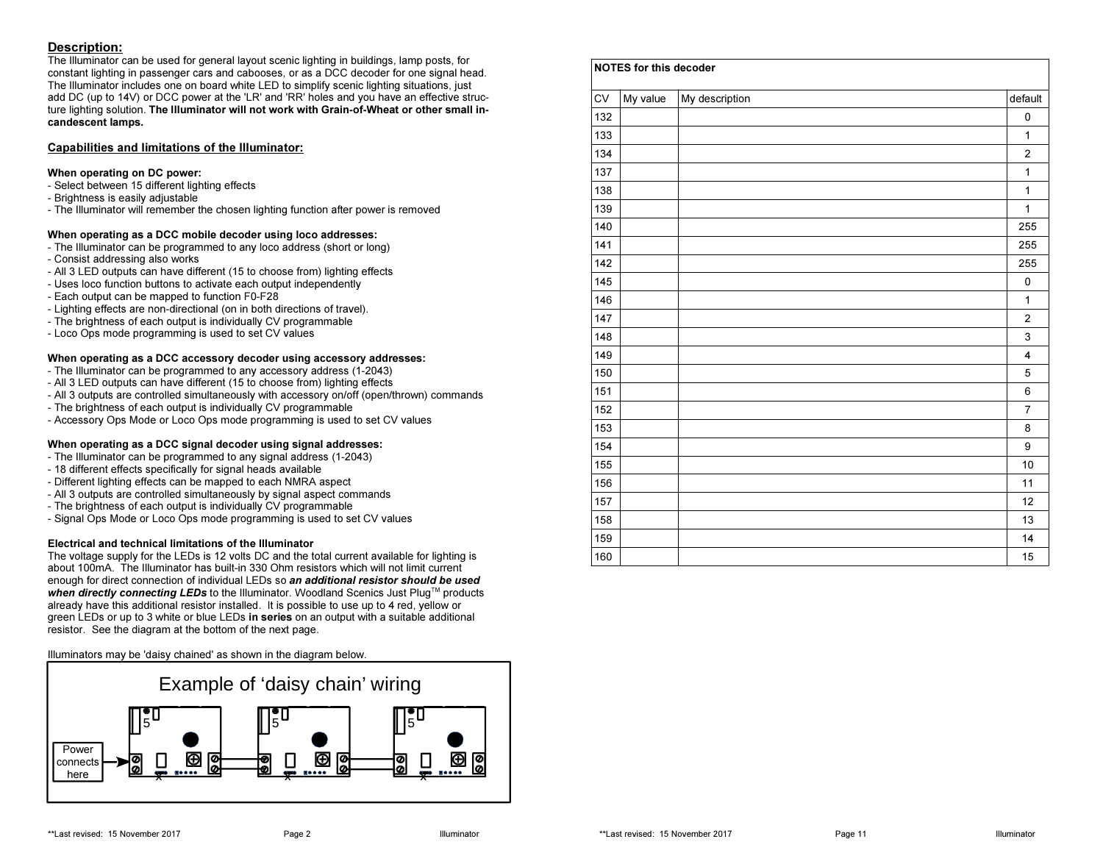### Description:

 The Illuminator can be used for general layout scenic lighting in buildings, lamp posts, for constant lighting in passenger cars and cabooses, or as a DCC decoder for one signal head. The Illuminator includes one on board white LED to simplify scenic lighting situations, just add DC (up to 14V) or DCC power at the 'LR' and 'RR' holes and you have an effective structure lighting solution. The Illuminator will not work with Grain-of-Wheat or other small incandescent lamps.

#### Capabilities and limitations of the Illuminator:

#### When operating on DC power:

- Select between 15 different lighting effects
- Brightness is easily adjustable
- The Illuminator will remember the chosen lighting function after power is removed

#### When operating as a DCC mobile decoder using loco addresses:

- The Illuminator can be programmed to any loco address (short or long) - Consist addressing also works
- 
- All 3 LED outputs can have different (15 to choose from) lighting effects- Uses loco function buttons to activate each output independently
- Each output can be mapped to function F0-F28
- 
- Lighting effects are non-directional (on in both directions of travel).- The brightness of each output is individually CV programmable
- Loco Ops mode programming is used to set CV values

#### When operating as a DCC accessory decoder using accessory addresses:

- The Illuminator can be programmed to any accessory address (1-2043)
- All 3 LED outputs can have different (15 to choose from) lighting effects
- All 3 outputs are controlled simultaneously with accessory on/off (open/thrown) commands
- The brightness of each output is individually CV programmable
- Accessory Ops Mode or Loco Ops mode programming is used to set CV values

#### When operating as a DCC signal decoder using signal addresses:

- The Illuminator can be programmed to any signal address (1-2043)
- 18 different effects specifically for signal heads available
- Different lighting effects can be mapped to each NMRA aspect
- All 3 outputs are controlled simultaneously by signal aspect commands
- The brightness of each output is individually CV programmable
- Signal Ops Mode or Loco Ops mode programming is used to set CV values

#### Electrical and technical limitations of the Illuminator

 The voltage supply for the LEDs is 12 volts DC and the total current available for lighting is about 100mA. The Illuminator has built-in 330 Ohm resistors which will not limit current enough for direct connection of individual LEDs so an additional resistor should be used when directly connecting LEDs to the Illuminator. Woodland Scenics Just Plug™ products already have this additional resistor installed. It is possible to use up to 4 red, yellow or green LEDs or up to 3 white or blue LEDs in series on an output with a suitable additional resistor. See the diagram at the bottom of the next page.

Illuminators may be 'daisy chained' as shown in the diagram below.



| <b>CV</b> | My value | My description | default                 |
|-----------|----------|----------------|-------------------------|
| 132       |          |                | 0                       |
| 133       |          |                | $\mathbf{1}$            |
| 134       |          |                | $\overline{c}$          |
| 137       |          |                | $\mathbf{1}$            |
| 138       |          |                | $\mathbf{1}$            |
| 139       |          |                | $\mathbf{1}$            |
| 140       |          |                | 255                     |
| 141       |          |                | 255                     |
| 142       |          |                | 255                     |
| 145       |          |                | 0                       |
| 146       |          |                | $\mathbf{1}$            |
| 147       |          |                | $\overline{c}$          |
| 148       |          |                | 3                       |
| 149       |          |                | $\overline{\mathbf{4}}$ |
| 150       |          |                | 5                       |
| 151       |          |                | 6                       |
| 152       |          |                | $\overline{7}$          |
| 153       |          |                | 8                       |
| 154       |          |                | 9                       |
| 155       |          |                | 10                      |
| 156       |          |                | 11                      |
| 157       |          |                | 12                      |
| 158       |          |                | 13                      |
| 159       |          |                | 14                      |
| 160       |          |                | 15                      |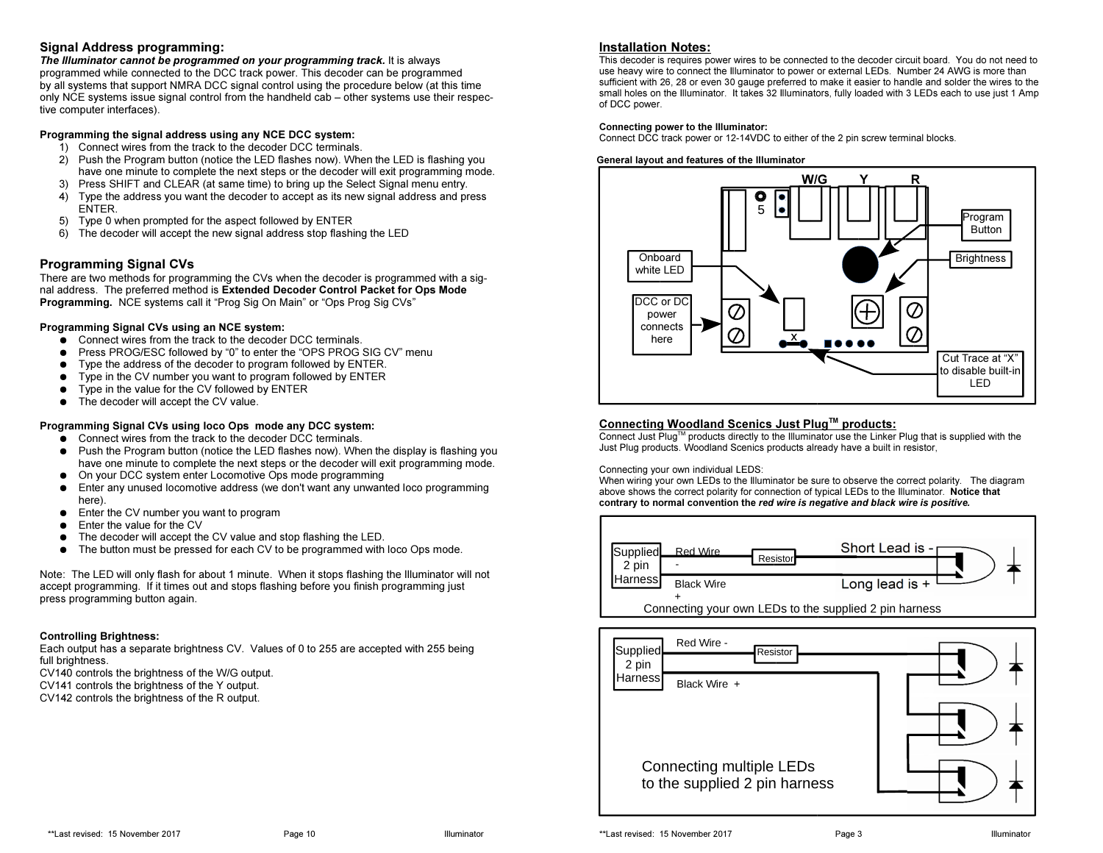#### Signal Address programming:

 The Illuminator cannot be programmed on your programming track. It is always programmed while connected to the DCC track power. This decoder can be programmed by all systems that support NMRA DCC signal control using the procedure below (at this time only NCE systems issue signal control from the handheld cab – other systems use their respective computer interfaces).

#### Programming the signal address using any NCE DCC system:

- 1) Connect wires from the track to the decoder DCC terminals.
- 2) Push the Program button (notice the LED flashes now). When the LED is flashing you have one minute to complete the next steps or the decoder will exit programming mode.
- 3) Press SHIFT and CLEAR (at same time) to bring up the Select Signal menu entry.
- 4) Type the address you want the decoder to accept as its new signal address and press ENTER.
- 5) Type 0 when prompted for the aspect followed by ENTER
- 6) The decoder will accept the new signal address stop flashing the LED

### Programming Signal CVs

 There are two methods for programming the CVs when the decoder is programmed with a signal address. The preferred method is Extended Decoder Control Packet for Ops Mode Programming. NCE systems call it "Prog Sig On Main" or "Ops Prog Sig CVs"

#### Programming Signal CVs using an NCE system:

- Connect wires from the track to the decoder DCC terminals.
- $\bullet$ Press PROG/ESC followed by "0" to enter the "OPS PROG SIG CV" menu
- $\bullet$ Type the address of the decoder to program followed by ENTER.
- $\bullet$ Type in the CV number you want to program followed by ENTER
- $\bullet$ Type in the value for the CV followed by ENTER
- The decoder will accept the CV value.

#### Programming Signal CVs using loco Ops mode any DCC system:

- Connect wires from the track to the decoder DCC terminals.<br>● Puch the Pregram button (poties the LED flashes nov), 14th
- Push the Program button (notice the LED flashes now). When the display is flashing you<br>have ano minute to complete the next stape of the deceder will exit programming mode have one minute to complete the next steps or the decoder will exit programming mode.
- $\bullet$ On your DCC system enter Locomotive Ops mode programming
- ● Enter any unused locomotive address (we don't want any unwanted loco programming here).
- $\bullet$  Enter the CV number you want to program ●
- $\bullet$ Enter the value for the CV
- ●The decoder will accept the CV value and stop flashing the LED.
- ●The button must be pressed for each CV to be programmed with loco Ops mode.

Note: The LED will only flash for about 1 minute. When it stops flashing the Illuminator will not accept programming. If it times out and stops flashing before you finish programming just press programming button again.

#### Controlling Brightness:

 Each output has a separate brightness CV. Values of 0 to 255 are accepted with 255 being full brightness.

CV140 controls the brightness of the W/G output.

- CV141 controls the brightness of the Y output.
- CV142 controls the brightness of the R output.

#### Installation Notes:

 This decoder is requires power wires to be connected to the decoder circuit board. You do not need to use heavy wire to connect the Illuminator to power or external LEDs. Number 24 AWG is more than sufficient with 26, 28 or even 30 gauge preferred to make it easier to handle and solder the wires to the small holes on the Illuminator. It takes 32 Illuminators, fully loaded with 3 LEDs each to use just 1 Amp of DCC power.

#### Connecting power to the Illuminator:

Connect DCC track power or 12-14VDC to either of the 2 pin screw terminal blocks.

#### General layout and features of the Illuminator



#### Connecting Woodland Scenics Just Plug™ products:

 Connect Just PlugTM products directly to the Illuminator use the Linker Plug that is supplied with the Just Plug products. Woodland Scenics products already have a built in resistor,

Connecting your own individual LEDS:

 When wiring your own LEDs to the Illuminator be sure to observe the correct polarity. The diagram above shows the correct polarity for connection of typical LEDs to the Illuminator. Notice that contrary to normal convention the red wire is negative and black wire is positive.



| Red Wire -<br>Supplied<br>Resistor<br>2 pin               |  |
|-----------------------------------------------------------|--|
| <b>Harness</b><br>Black Wire +                            |  |
| Connecting multiple LEDs<br>to the supplied 2 pin harness |  |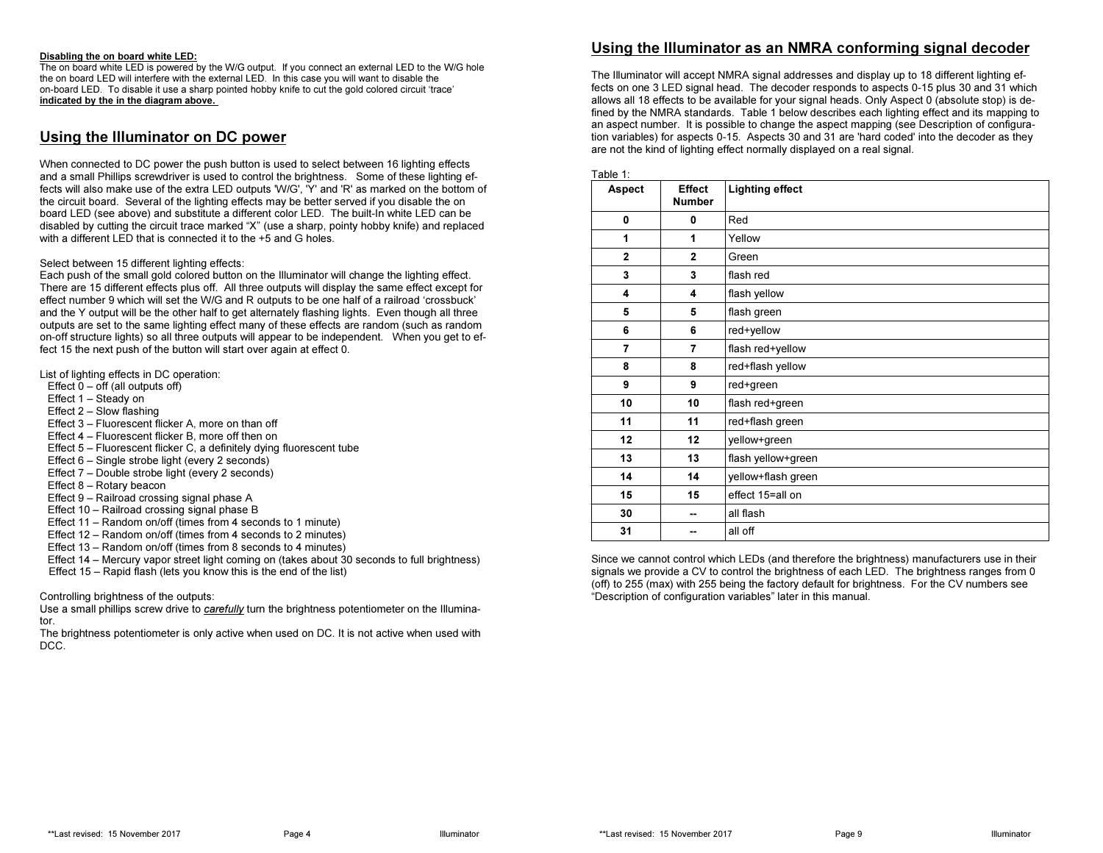#### Disabling the on board white LED:

 The on board white LED is powered by the W/G output. If you connect an external LED to the W/G hole the on board LED will interfere with the external LED. In this case you will want to disable the on-board LED. To disable it use a sharp pointed hobby knife to cut the gold colored circuit 'trace' indicated by the in the diagram above.

## Using the Illuminator on DC power

When connected to DC power the push button is used to select between 16 lighting effects and a small Phillips screwdriver is used to control the brightness. Some of these lighting effects will also make use of the extra LED outputs 'W/G', 'Y' and 'R' as marked on the bottom of the circuit board. Several of the lighting effects may be better served if you disable the on board LED (see above) and substitute a different color LED. The built-In white LED can be disabled by cutting the circuit trace marked "X" (use a sharp, pointy hobby knife) and replaced with a different LED that is connected it to the +5 and G holes.

#### Select between 15 different lighting effects:

 Each push of the small gold colored button on the Illuminator will change the lighting effect. There are 15 different effects plus off. All three outputs will display the same effect except for effect number 9 which will set the W/G and R outputs to be one half of a railroad 'crossbuck' and the Y output will be the other half to get alternately flashing lights. Even though all three outputs are set to the same lighting effect many of these effects are random (such as random on-off structure lights) so all three outputs will appear to be independent. When you get to effect 15 the next push of the button will start over again at effect 0.

List of lighting effects in DC operation:

- Effect  $0 -$  off (all outputs off)
- Effect 1 Steady on
- Effect 2 Slow flashing
- Effect 3 Fluorescent flicker A, more on than off
- Effect 4 Fluorescent flicker B, more off then on
- Effect 5 Fluorescent flicker C, a definitely dying fluorescent tube
- Effect 6 Single strobe light (every 2 seconds)
- Effect 7 Double strobe light (every 2 seconds)
- Effect 8 Rotary beacon
- Effect 9 Railroad crossing signal phase A
- Effect 10 Railroad crossing signal phase B
- Effect 11 Random on/off (times from 4 seconds to 1 minute)
- Effect 12 Random on/off (times from 4 seconds to 2 minutes)
- Effect 13 Random on/off (times from 8 seconds to 4 minutes)
- Effect 14 Mercury vapor street light coming on (takes about 30 seconds to full brightness)
- Effect 15 Rapid flash (lets you know this is the end of the list)

Controlling brightness of the outputs:

Use a small phillips screw drive to *carefully* turn the brightness potentiometer on the Illuminator.

 The brightness potentiometer is only active when used on DC. It is not active when used with DCC.

# Using the Illuminator as an NMRA conforming signal decoder

The Illuminator will accept NMRA signal addresses and display up to 18 different lighting effects on one 3 LED signal head. The decoder responds to aspects 0-15 plus 30 and 31 which allows all 18 effects to be available for your signal heads. Only Aspect 0 (absolute stop) is defined by the NMRA standards. Table 1 below describes each lighting effect and its mapping to an aspect number. It is possible to change the aspect mapping (see Description of configuration variables) for aspects 0-15. Aspects 30 and 31 are 'hard coded' into the decoder as they are not the kind of lighting effect normally displayed on a real signal.

| Aspect         | <b>Effect</b><br><b>Number</b> | <b>Lighting effect</b> |
|----------------|--------------------------------|------------------------|
| 0              | 0                              | Red                    |
| 1              | 1                              | Yellow                 |
| $\overline{2}$ | $\mathbf{2}$                   | Green                  |
| 3              | 3                              | flash red              |
| 4              | 4                              | flash yellow           |
| 5              | 5                              | flash green            |
| 6              | 6                              | red+yellow             |
| $\overline{7}$ | 7                              | flash red+yellow       |
| 8              | 8                              | red+flash yellow       |
| 9              | 9                              | red+green              |
| 10             | 10                             | flash red+green        |
| 11             | 11                             | red+flash green        |
| 12             | 12                             | yellow+green           |
| 13             | 13                             | flash yellow+green     |
| 14             | 14                             | yellow+flash green     |
| 15             | 15                             | effect 15=all on       |
| 30             | --                             | all flash              |
| 31             |                                | all off                |

Since we cannot control which LEDs (and therefore the brightness) manufacturers use in their signals we provide a CV to control the brightness of each LED. The brightness ranges from 0 (off) to 255 (max) with 255 being the factory default for brightness. For the CV numbers see "Description of configuration variables" later in this manual.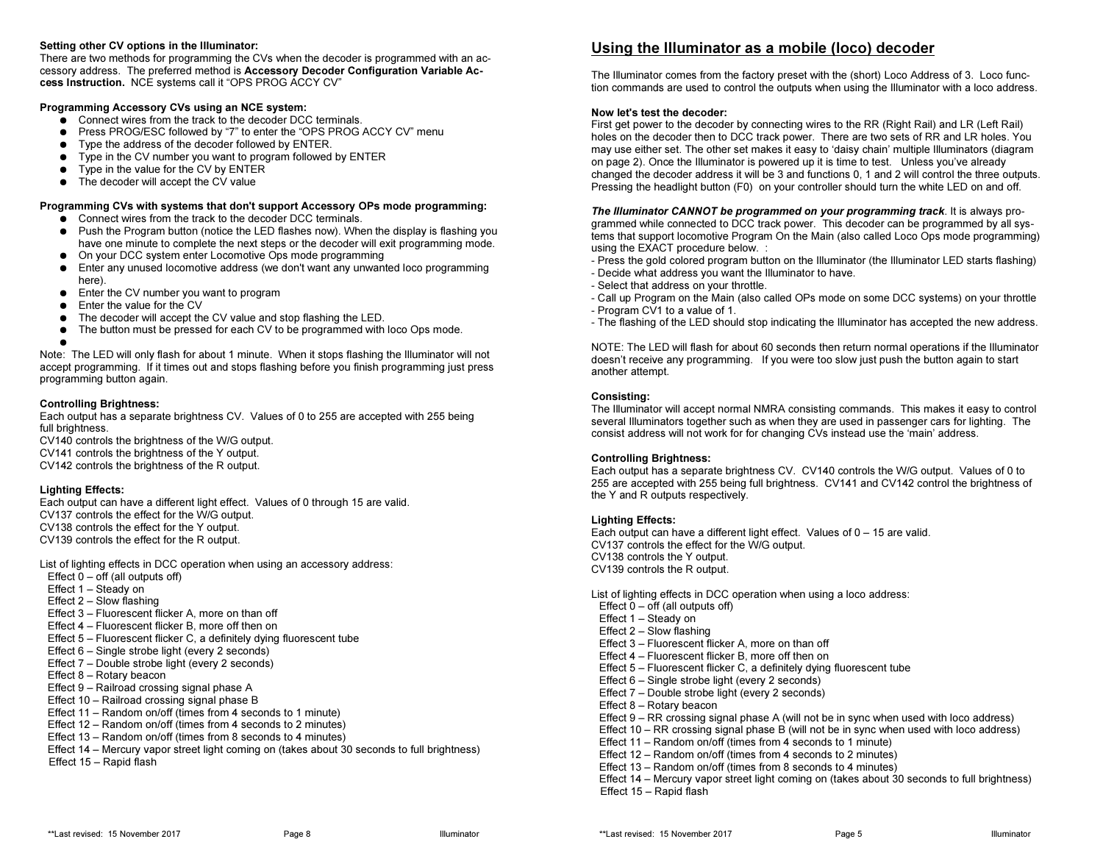#### Setting other CV options in the Illuminator:

 There are two methods for programming the CVs when the decoder is programmed with an accessory address. The preferred method is Accessory Decoder Configuration Variable Access Instruction. NCE systems call it "OPS PROG ACCY CV"

#### Programming Accessory CVs using an NCE system:

- Connect wires from the track to the decoder DCC terminals.<br>● Pross PROC/ESC followed by "7" to onter the "OPS PROC
- Press PROG/ESC followed by "7" to enter the "OPS PROG ACCY CV" menu<br>● Press PROG/ESC followed by followed by ENTER
- Type the address of the decoder followed by ENTER.
- Type in the CV number you want to program followed by ENTER
- $\bullet$  Type in the value for the CV by ENTER
- The decoder will accept the CV value

#### Programming CVs with systems that don't support Accessory OPs mode programming:

- Connect wires from the track to the decoder DCC terminals.<br>● Puch the Pregram button (poties the LED flashes nov), 14th
- Push the Program button (notice the LED flashes now). When the display is flashing you<br>hove and minute to complete the nove atops or the deceder will ovit programming mode have one minute to complete the next steps or the decoder will exit programming mode.
- On your DCC system enter Locomotive Ops mode programming<br>● Enter any unused locomotive address (up den't unat any unuse
- Enter any unused locomotive address (we don't want any unwanted loco programming here) here).
- Enter the CV number you want to program
- Enter the value for the CV<br>● The deceder will accept the
- $\bullet$ The decoder will accept the CV value and stop flashing the LED.
- The button must be pressed for each CV to be programmed with loco Ops mode.<br>●

● Note: The LED will only flash for about 1 minute. When it stops flashing the Illuminator will not accept programming. If it times out and stops flashing before you finish programming just press programming button again.

#### Controlling Brightness:

 Each output has a separate brightness CV. Values of 0 to 255 are accepted with 255 being full brightness.

 CV140 controls the brightness of the W/G output. CV141 controls the brightness of the Y output. CV142 controls the brightness of the R output.

#### Lighting Effects:

 Each output can have a different light effect. Values of 0 through 15 are valid.CV137 controls the effect for the W/G output. CV138 controls the effect for the Y output. CV139 controls the effect for the R output.

List of lighting effects in DCC operation when using an accessory address:Effect  $0 -$  off (all outputs off) Effect 1 – Steady on Effect 2 – Slow flashing Effect 3 – Fluorescent flicker A, more on than off Effect 4 – Fluorescent flicker B, more off then on Effect 5 – Fluorescent flicker C, a definitely dying fluorescent tubeEffect 6 – Single strobe light (every 2 seconds) Effect 7 – Double strobe light (every 2 seconds) Effect 8 – Rotary beacon Effect 9 – Railroad crossing signal phase A Effect 10 – Railroad crossing signal phase B Effect 11 – Random on/off (times from 4 seconds to 1 minute) Effect 12 – Random on/off (times from 4 seconds to 2 minutes) Effect 13 – Random on/off (times from 8 seconds to 4 minutes) Effect 14 – Mercury vapor street light coming on (takes about 30 seconds to full brightness)Effect 15 – Rapid flash

# Using the Illuminator as a mobile (loco) decoder

The Illuminator comes from the factory preset with the (short) Loco Address of 3. Loco function commands are used to control the outputs when using the Illuminator with a loco address.

#### Now let's test the decoder:

 First get power to the decoder by connecting wires to the RR (Right Rail) and LR (Left Rail) holes on the decoder then to DCC track power. There are two sets of RR and LR holes. You may use either set. The other set makes it easy to 'daisy chain' multiple Illuminators (diagram on page 2). Once the Illuminator is powered up it is time to test. Unless you've already changed the decoder address it will be 3 and functions 0, 1 and 2 will control the three outputs.Pressing the headlight button (F0) on your controller should turn the white LED on and off.

The Illuminator CANNOT be programmed on your programming track. It is always programmed while connected to DCC track power. This decoder can be programmed by all systems that support locomotive Program On the Main (also called Loco Ops mode programming)using the EXACT procedure below. :

- Press the gold colored program button on the Illuminator (the Illuminator LED starts flashing)
- Decide what address you want the Illuminator to have.
- Select that address on your throttle.
- Call up Program on the Main (also called OPs mode on some DCC systems) on your throttle- Program CV1 to a value of 1.
- The flashing of the LED should stop indicating the Illuminator has accepted the new address.

NOTE: The LED will flash for about 60 seconds then return normal operations if the Illuminatordoesn't receive any programming. If you were too slow just push the button again to start another attempt.

#### Consisting:

 The Illuminator will accept normal NMRA consisting commands. This makes it easy to control several Illuminators together such as when they are used in passenger cars for lighting. The consist address will not work for for changing CVs instead use the 'main' address.

#### Controlling Brightness:

 Each output has a separate brightness CV. CV140 controls the W/G output. Values of 0 to 255 are accepted with 255 being full brightness. CV141 and CV142 control the brightness of the Y and R outputs respectively.

#### Lighting Effects:

 Each output can have a different light effect. Values of 0 – 15 are valid. CV137 controls the effect for the W/G output. CV138 controls the Y output.CV139 controls the R output.

List of lighting effects in DCC operation when using a loco address:Effect  $0 -$  off (all outputs off) Effect 1 – Steady on Effect 2 – Slow flashing Effect 3 – Fluorescent flicker A, more on than off Effect 4 – Fluorescent flicker B, more off then on Effect 5 – Fluorescent flicker C, a definitely dying fluorescent tubeEffect 6 – Single strobe light (every 2 seconds) Effect 7 – Double strobe light (every 2 seconds) Effect 8 – Rotary beacon Effect 9 – RR crossing signal phase A (will not be in sync when used with loco address) Effect 10 – RR crossing signal phase B (will not be in sync when used with loco address)Effect 11 – Random on/off (times from 4 seconds to 1 minute) Effect 12 – Random on/off (times from 4 seconds to 2 minutes) Effect 13 – Random on/off (times from 8 seconds to 4 minutes) Effect 14 – Mercury vapor street light coming on (takes about 30 seconds to full brightness)Effect 15 – Rapid flash